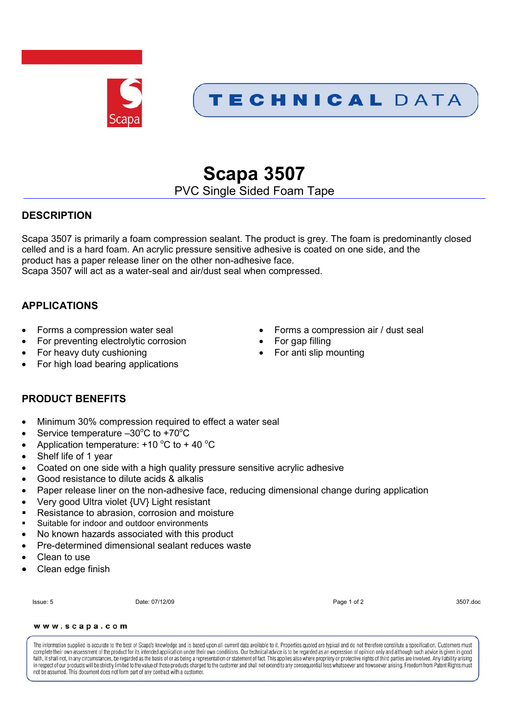

## TECHNICAL DATA

# **Scapa 3507**

## PVC Single Sided Foam Tape

## **DESCRIPTION**

Scapa 3507 is primarily a foam compression sealant. The product is grey. The foam is predominantly closed celled and is a hard foam. An acrylic pressure sensitive adhesive is coated on one side, and the product has a paper release liner on the other non-adhesive face. Scapa 3507 will act as a water-seal and air/dust seal when compressed.

## **APPLICATIONS**

- 
- For preventing electrolytic corrosion For gap filling
- For heavy duty cushioning **For anti slip mounting For anti slip mounting**
- For high load bearing applications
- Forms a compression water seal **Exercise Secure 1** Forms a compression air / dust seal
	-
	-

## **PRODUCT BENEFITS**

- Minimum 30% compression required to effect a water seal
- Service temperature  $-30^{\circ}$ C to +70 $^{\circ}$ C
- Application temperature:  $+10\degree C$  to  $+40\degree C$
- Shelf life of 1 year
- Coated on one side with a high quality pressure sensitive acrylic adhesive
- Good resistance to dilute acids & alkalis
- Paper release liner on the non-adhesive face, reducing dimensional change during application
- Very good Ultra violet {UV} Light resistant
- Resistance to abrasion, corrosion and moisture
- Suitable for indoor and outdoor environments
- No known hazards associated with this product
- Pre-determined dimensional sealant reduces waste
- Clean to use
- Clean edge finish

Issue: 5 Date: 07/12/09 Page 1 of 2 3507.doc

#### www.scapa.com

The information supplied is accurate to the best of Scapa's knowledge and is based upon all current data available to it. Properties quoted are typical and do not therefore constitute a specification. Customers must complete their own assessment of the product for its intended application under their own conditions. Our technical advice is to be regarded as an expression of opinion only and although such advice is given in good faith, it shall not, in any circumstances, be regarded as the basis of or as being a representation or statement of fact. This applies also where propriety or protective rights of third parties are involved. Any liability in respect of our products will be strictly limited to the value of those products charged to the customer and shall not extend to any consequential loss whatsoever and how soever arising. Freedom from Patent Rights must not be assumed. This document does not form part of any contract with a customer.